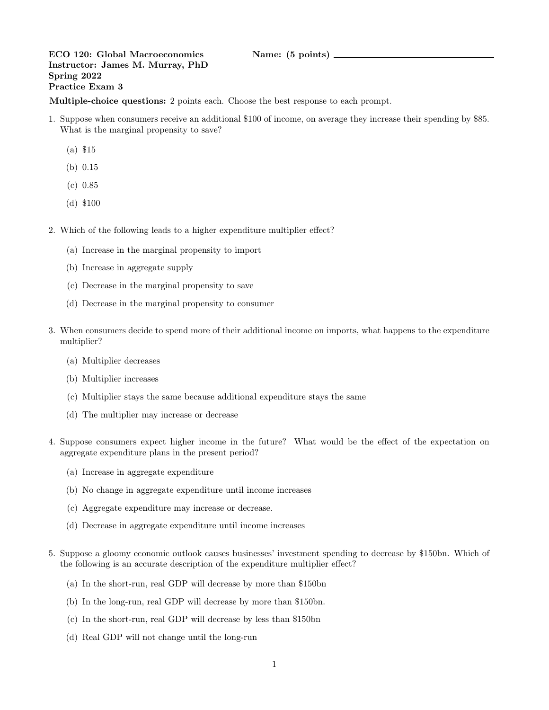## ECO 120: Global Macroeconomics Name: (5 points) \_ Instructor: James M. Murray, PhD Spring 2022 Practice Exam 3

Multiple-choice questions: 2 points each. Choose the best response to each prompt.

- 1. Suppose when consumers receive an additional \$100 of income, on average they increase their spending by \$85. What is the marginal propensity to save?
	- (a) \$15
	- (b) 0.15
	- (c) 0.85
	- (d) \$100
- 2. Which of the following leads to a higher expenditure multiplier effect?
	- (a) Increase in the marginal propensity to import
	- (b) Increase in aggregate supply
	- (c) Decrease in the marginal propensity to save
	- (d) Decrease in the marginal propensity to consumer
- 3. When consumers decide to spend more of their additional income on imports, what happens to the expenditure multiplier?
	- (a) Multiplier decreases
	- (b) Multiplier increases
	- (c) Multiplier stays the same because additional expenditure stays the same
	- (d) The multiplier may increase or decrease
- 4. Suppose consumers expect higher income in the future? What would be the effect of the expectation on aggregate expenditure plans in the present period?
	- (a) Increase in aggregate expenditure
	- (b) No change in aggregate expenditure until income increases
	- (c) Aggregate expenditure may increase or decrease.
	- (d) Decrease in aggregate expenditure until income increases
- 5. Suppose a gloomy economic outlook causes businesses' investment spending to decrease by \$150bn. Which of the following is an accurate description of the expenditure multiplier effect?
	- (a) In the short-run, real GDP will decrease by more than \$150bn
	- (b) In the long-run, real GDP will decrease by more than \$150bn.
	- (c) In the short-run, real GDP will decrease by less than \$150bn
	- (d) Real GDP will not change until the long-run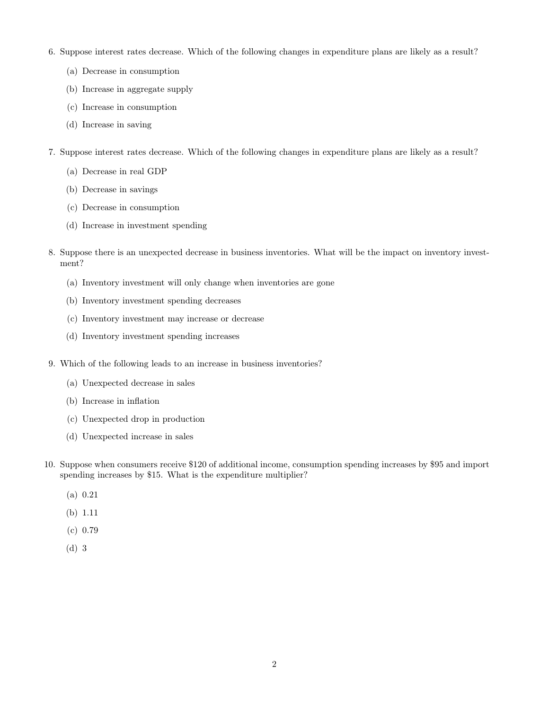- 6. Suppose interest rates decrease. Which of the following changes in expenditure plans are likely as a result?
	- (a) Decrease in consumption
	- (b) Increase in aggregate supply
	- (c) Increase in consumption
	- (d) Increase in saving
- 7. Suppose interest rates decrease. Which of the following changes in expenditure plans are likely as a result?
	- (a) Decrease in real GDP
	- (b) Decrease in savings
	- (c) Decrease in consumption
	- (d) Increase in investment spending
- 8. Suppose there is an unexpected decrease in business inventories. What will be the impact on inventory investment?
	- (a) Inventory investment will only change when inventories are gone
	- (b) Inventory investment spending decreases
	- (c) Inventory investment may increase or decrease
	- (d) Inventory investment spending increases
- 9. Which of the following leads to an increase in business inventories?
	- (a) Unexpected decrease in sales
	- (b) Increase in inflation
	- (c) Unexpected drop in production
	- (d) Unexpected increase in sales
- 10. Suppose when consumers receive \$120 of additional income, consumption spending increases by \$95 and import spending increases by \$15. What is the expenditure multiplier?
	- (a) 0.21
	- (b) 1.11
	- (c) 0.79
	- (d) 3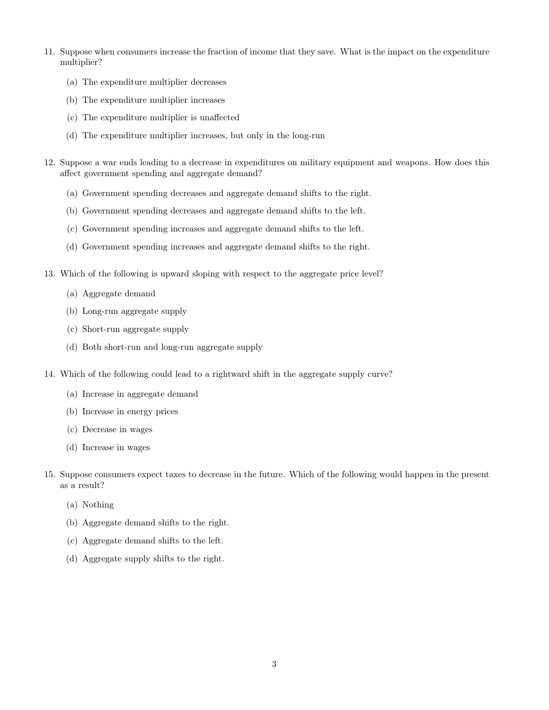- 11. Suppose when consumers increase the fraction of income that they save. What is the impact on the expenditure multiplier?
	- (a) The expenditure multiplier decreases
	- (b) The expenditure multiplier increases
	- (c) The expenditure multiplier is unaffected
	- (d) The expenditure multiplier increases, but only in the long-run
- 12. Suppose a war ends leading to a decrease in expenditures on military equipment and weapons. How does this affect government spending and aggregate demand?
	- (a) Government spending decreases and aggregate demand shifts to the right.
	- (b) Government spending decreases and aggregate demand shifts to the left.
	- (c) Government spending increases and aggregate demand shifts to the left.
	- (d) Government spending increases and aggregate demand shifts to the right.
- 13. Which of the following is upward sloping with respect to the aggregate price level?
	- (a) Aggregate demand
	- (b) Long-run aggregate supply
	- (c) Short-run aggregate supply
	- (d) Both short-run and long-run aggregate supply
- 14. Which of the following could lead to a rightward shift in the aggregate supply curve?
	- (a) Increase in aggregate demand
	- (b) Increase in energy prices
	- (c) Decrease in wages
	- (d) Increase in wages
- 15. Suppose consumers expect taxes to decrease in the future. Which of the following would happen in the present as a result?
	- (a) Nothing
	- (b) Aggregate demand shifts to the right.
	- (c) Aggregate demand shifts to the left.
	- (d) Aggregate supply shifts to the right.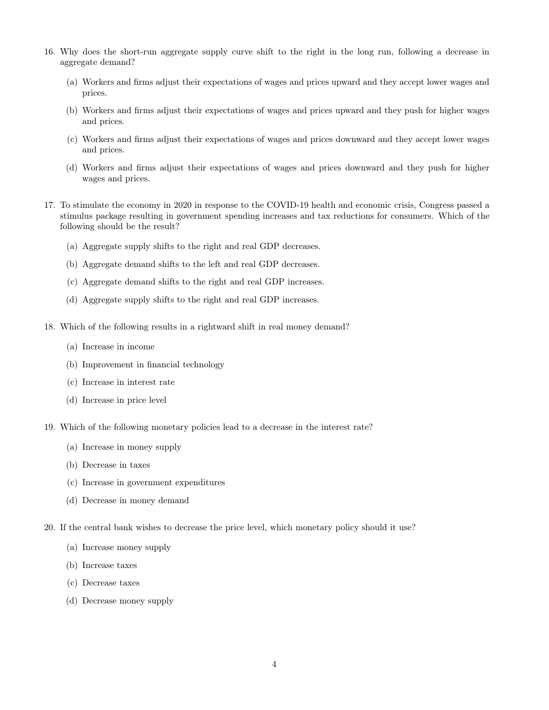- 16. Why does the short-run aggregate supply curve shift to the right in the long run, following a decrease in aggregate demand?
	- (a) Workers and firms adjust their expectations of wages and prices upward and they accept lower wages and prices.
	- (b) Workers and firms adjust their expectations of wages and prices upward and they push for higher wages and prices.
	- (c) Workers and firms adjust their expectations of wages and prices downward and they accept lower wages and prices.
	- (d) Workers and firms adjust their expectations of wages and prices downward and they push for higher wages and prices.
- 17. To stimulate the economy in 2020 in response to the COVID-19 health and economic crisis, Congress passed a stimulus package resulting in government spending increases and tax reductions for consumers. Which of the following should be the result?
	- (a) Aggregate supply shifts to the right and real GDP decreases.
	- (b) Aggregate demand shifts to the left and real GDP decreases.
	- (c) Aggregate demand shifts to the right and real GDP increases.
	- (d) Aggregate supply shifts to the right and real GDP increases.
- 18. Which of the following results in a rightward shift in real money demand?
	- (a) Increase in income
	- (b) Improvement in financial technology
	- (c) Increase in interest rate
	- (d) Increase in price level
- 19. Which of the following monetary policies lead to a decrease in the interest rate?
	- (a) Increase in money supply
	- (b) Decrease in taxes
	- (c) Increase in government expenditures
	- (d) Decrease in money demand
- 20. If the central bank wishes to decrease the price level, which monetary policy should it use?
	- (a) Increase money supply
	- (b) Increase taxes
	- (c) Decrease taxes
	- (d) Decrease money supply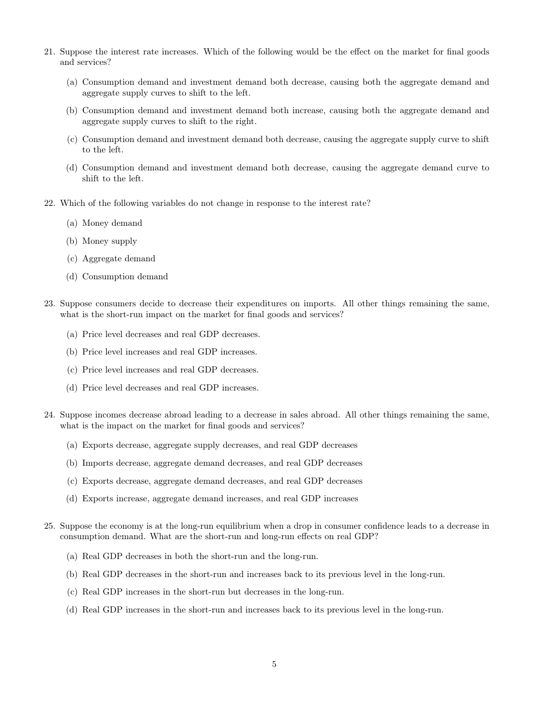- 21. Suppose the interest rate increases. Which of the following would be the effect on the market for final goods and services?
	- (a) Consumption demand and investment demand both decrease, causing both the aggregate demand and aggregate supply curves to shift to the left.
	- (b) Consumption demand and investment demand both increase, causing both the aggregate demand and aggregate supply curves to shift to the right.
	- (c) Consumption demand and investment demand both decrease, causing the aggregate supply curve to shift to the left.
	- (d) Consumption demand and investment demand both decrease, causing the aggregate demand curve to shift to the left.
- 22. Which of the following variables do not change in response to the interest rate?
	- (a) Money demand
	- (b) Money supply
	- (c) Aggregate demand
	- (d) Consumption demand
- 23. Suppose consumers decide to decrease their expenditures on imports. All other things remaining the same, what is the short-run impact on the market for final goods and services?
	- (a) Price level decreases and real GDP decreases.
	- (b) Price level increases and real GDP increases.
	- (c) Price level increases and real GDP decreases.
	- (d) Price level decreases and real GDP increases.
- 24. Suppose incomes decrease abroad leading to a decrease in sales abroad. All other things remaining the same, what is the impact on the market for final goods and services?
	- (a) Exports decrease, aggregate supply decreases, and real GDP decreases
	- (b) Imports decrease, aggregate demand decreases, and real GDP decreases
	- (c) Exports decrease, aggregate demand decreases, and real GDP decreases
	- (d) Exports increase, aggregate demand increases, and real GDP increases
- 25. Suppose the economy is at the long-run equilibrium when a drop in consumer confidence leads to a decrease in consumption demand. What are the short-run and long-run effects on real GDP?
	- (a) Real GDP decreases in both the short-run and the long-run.
	- (b) Real GDP decreases in the short-run and increases back to its previous level in the long-run.
	- (c) Real GDP increases in the short-run but decreases in the long-run.
	- (d) Real GDP increases in the short-run and increases back to its previous level in the long-run.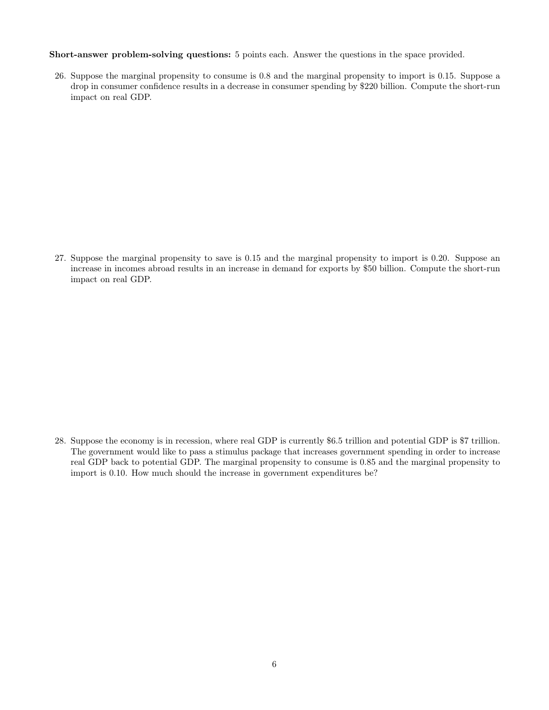Short-answer problem-solving questions: 5 points each. Answer the questions in the space provided.

26. Suppose the marginal propensity to consume is 0.8 and the marginal propensity to import is 0.15. Suppose a drop in consumer confidence results in a decrease in consumer spending by \$220 billion. Compute the short-run impact on real GDP.

27. Suppose the marginal propensity to save is 0.15 and the marginal propensity to import is 0.20. Suppose an increase in incomes abroad results in an increase in demand for exports by \$50 billion. Compute the short-run impact on real GDP.

28. Suppose the economy is in recession, where real GDP is currently \$6.5 trillion and potential GDP is \$7 trillion. The government would like to pass a stimulus package that increases government spending in order to increase real GDP back to potential GDP. The marginal propensity to consume is 0.85 and the marginal propensity to import is 0.10. How much should the increase in government expenditures be?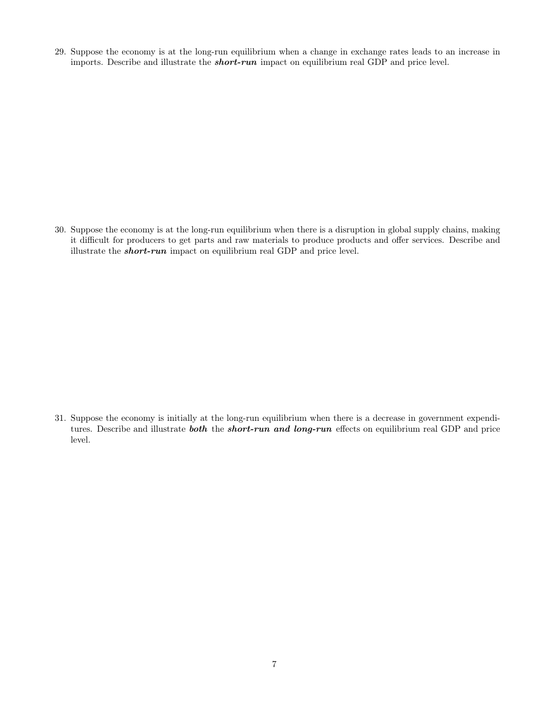29. Suppose the economy is at the long-run equilibrium when a change in exchange rates leads to an increase in imports. Describe and illustrate the short-run impact on equilibrium real GDP and price level.

30. Suppose the economy is at the long-run equilibrium when there is a disruption in global supply chains, making it difficult for producers to get parts and raw materials to produce products and offer services. Describe and illustrate the short-run impact on equilibrium real GDP and price level.

31. Suppose the economy is initially at the long-run equilibrium when there is a decrease in government expenditures. Describe and illustrate **both** the **short-run and long-run** effects on equilibrium real GDP and price level.